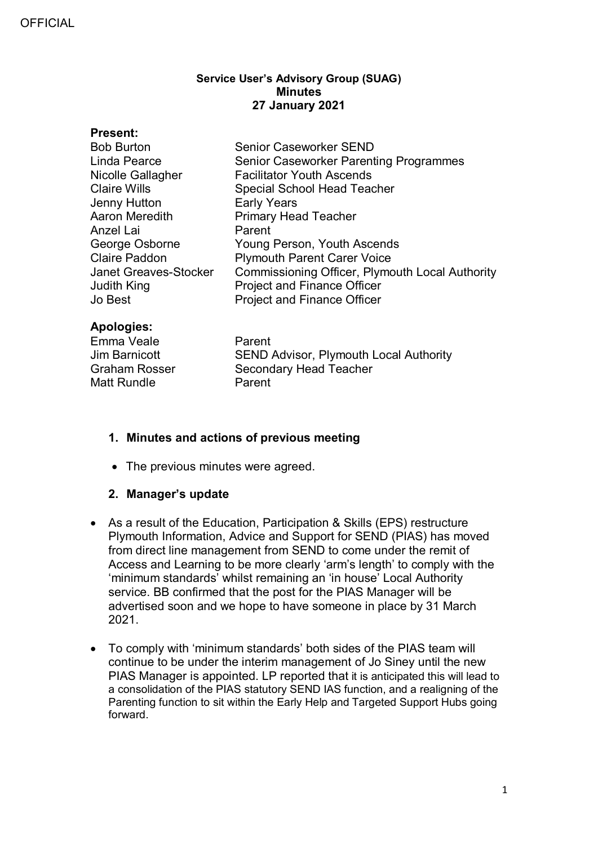#### **Service User's Advisory Group (SUAG) Minutes 27 January 2021**

| <b>Present:</b>              |                                                        |
|------------------------------|--------------------------------------------------------|
| <b>Bob Burton</b>            | <b>Senior Caseworker SEND</b>                          |
| Linda Pearce                 | <b>Senior Caseworker Parenting Programmes</b>          |
| Nicolle Gallagher            | <b>Facilitator Youth Ascends</b>                       |
| <b>Claire Wills</b>          | Special School Head Teacher                            |
| Jenny Hutton                 | <b>Early Years</b>                                     |
| Aaron Meredith               | <b>Primary Head Teacher</b>                            |
| Anzel Lai                    | Parent                                                 |
| George Osborne               | Young Person, Youth Ascends                            |
| <b>Claire Paddon</b>         | <b>Plymouth Parent Carer Voice</b>                     |
| <b>Janet Greaves-Stocker</b> | <b>Commissioning Officer, Plymouth Local Authority</b> |
| Judith King                  | <b>Project and Finance Officer</b>                     |
| Jo Best                      | <b>Project and Finance Officer</b>                     |
|                              |                                                        |

### **Apologies:**

Emma Veale Parent Matt Rundle Parent

Jim Barnicott **SEND Advisor, Plymouth Local Authority**<br>Graham Rosser Secondary Head Teacher Secondary Head Teacher

# **1. Minutes and actions of previous meeting**

• The previous minutes were agreed.

### **2. Manager's update**

- As a result of the Education, Participation & Skills (EPS) restructure Plymouth Information, Advice and Support for SEND (PIAS) has moved from direct line management from SEND to come under the remit of Access and Learning to be more clearly 'arm's length' to comply with the 'minimum standards' whilst remaining an 'in house' Local Authority service. BB confirmed that the post for the PIAS Manager will be advertised soon and we hope to have someone in place by 31 March 2021.
- To comply with 'minimum standards' both sides of the PIAS team will continue to be under the interim management of Jo Siney until the new PIAS Manager is appointed. LP reported that it is anticipated this will lead to a consolidation of the PIAS statutory SEND IAS function, and a realigning of the Parenting function to sit within the Early Help and Targeted Support Hubs going forward.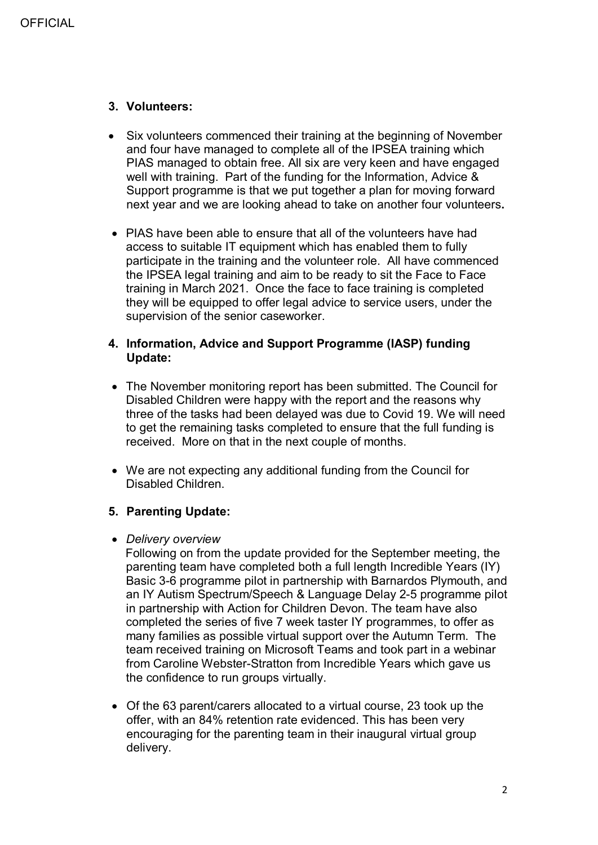### **3. Volunteers:**

- Six volunteers commenced their training at the beginning of November and four have managed to complete all of the IPSEA training which PIAS managed to obtain free. All six are very keen and have engaged well with training. Part of the funding for the Information, Advice & Support programme is that we put together a plan for moving forward next year and we are looking ahead to take on another four volunteers**.**
- PIAS have been able to ensure that all of the volunteers have had access to suitable IT equipment which has enabled them to fully participate in the training and the volunteer role. All have commenced the IPSEA legal training and aim to be ready to sit the Face to Face training in March 2021. Once the face to face training is completed they will be equipped to offer legal advice to service users, under the supervision of the senior caseworker.

#### **4. Information, Advice and Support Programme (IASP) funding Update:**

- The November monitoring report has been submitted. The Council for Disabled Children were happy with the report and the reasons why three of the tasks had been delayed was due to Covid 19. We will need to get the remaining tasks completed to ensure that the full funding is received. More on that in the next couple of months.
- We are not expecting any additional funding from the Council for Disabled Children.

### **5. Parenting Update:**

### • *Delivery overview*

 Following on from the update provided for the September meeting, the parenting team have completed both a full length Incredible Years (IY) Basic 3-6 programme pilot in partnership with Barnardos Plymouth, and an IY Autism Spectrum/Speech & Language Delay 2-5 programme pilot in partnership with Action for Children Devon. The team have also completed the series of five 7 week taster IY programmes, to offer as many families as possible virtual support over the Autumn Term. The team received training on Microsoft Teams and took part in a webinar from Caroline Webster-Stratton from Incredible Years which gave us the confidence to run groups virtually.

• Of the 63 parent/carers allocated to a virtual course, 23 took up the offer, with an 84% retention rate evidenced. This has been very encouraging for the parenting team in their inaugural virtual group delivery.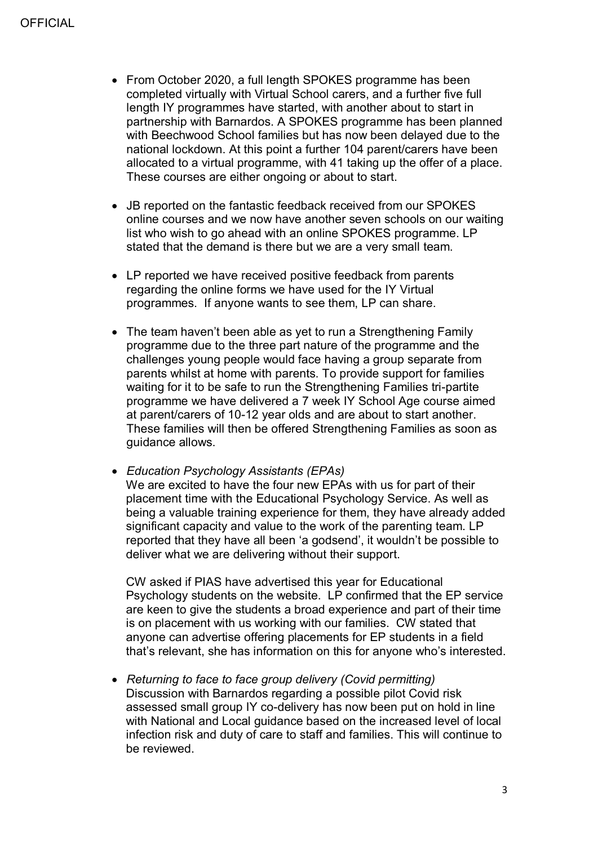- From October 2020, a full length SPOKES programme has been completed virtually with Virtual School carers, and a further five full length IY programmes have started, with another about to start in partnership with Barnardos. A SPOKES programme has been planned with Beechwood School families but has now been delayed due to the national lockdown. At this point a further 104 parent/carers have been allocated to a virtual programme, with 41 taking up the offer of a place. These courses are either ongoing or about to start.
- JB reported on the fantastic feedback received from our SPOKES online courses and we now have another seven schools on our waiting list who wish to go ahead with an online SPOKES programme. LP stated that the demand is there but we are a very small team.
- LP reported we have received positive feedback from parents regarding the online forms we have used for the IY Virtual programmes. If anyone wants to see them, LP can share.
- The team haven't been able as yet to run a Strengthening Family programme due to the three part nature of the programme and the challenges young people would face having a group separate from parents whilst at home with parents. To provide support for families waiting for it to be safe to run the Strengthening Families tri-partite programme we have delivered a 7 week IY School Age course aimed at parent/carers of 10-12 year olds and are about to start another. These families will then be offered Strengthening Families as soon as guidance allows.

• *Education Psychology Assistants (EPAs)* We are excited to have the four new EPAs with us for part of their placement time with the Educational Psychology Service. As well as being a valuable training experience for them, they have already added significant capacity and value to the work of the parenting team. LP reported that they have all been 'a godsend', it wouldn't be possible to deliver what we are delivering without their support.

CW asked if PIAS have advertised this year for Educational Psychology students on the website. LP confirmed that the EP service are keen to give the students a broad experience and part of their time is on placement with us working with our families. CW stated that anyone can advertise offering placements for EP students in a field that's relevant, she has information on this for anyone who's interested.

• *Returning to face to face group delivery (Covid permitting)* Discussion with Barnardos regarding a possible pilot Covid risk assessed small group IY co-delivery has now been put on hold in line with National and Local guidance based on the increased level of local infection risk and duty of care to staff and families. This will continue to be reviewed.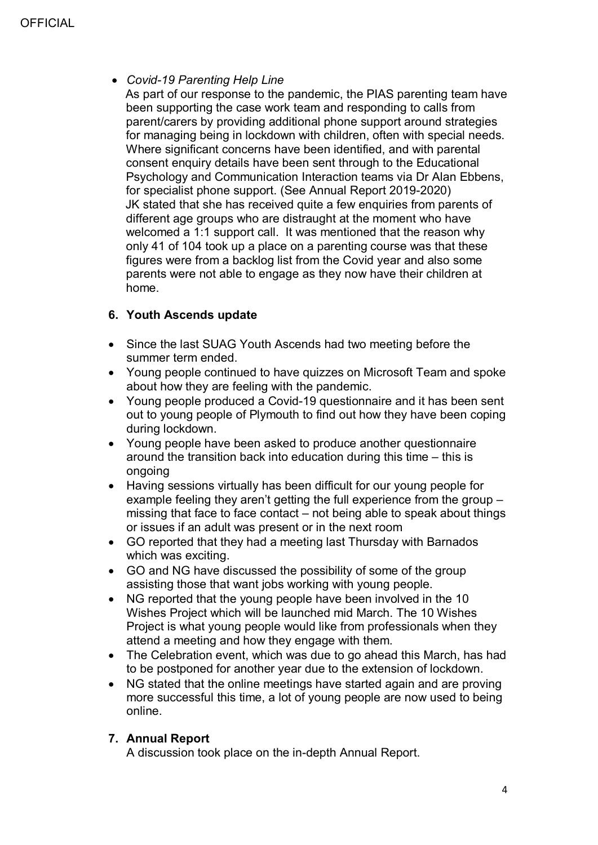# • *Covid-19 Parenting Help Line*

 As part of our response to the pandemic, the PIAS parenting team have been supporting the case work team and responding to calls from parent/carers by providing additional phone support around strategies for managing being in lockdown with children, often with special needs. Where significant concerns have been identified, and with parental consent enquiry details have been sent through to the Educational Psychology and Communication Interaction teams via Dr Alan Ebbens, for specialist phone support. (See Annual Report 2019-2020) JK stated that she has received quite a few enquiries from parents of different age groups who are distraught at the moment who have welcomed a 1:1 support call. It was mentioned that the reason why only 41 of 104 took up a place on a parenting course was that these figures were from a backlog list from the Covid year and also some parents were not able to engage as they now have their children at home.

# **6. Youth Ascends update**

- Since the last SUAG Youth Ascends had two meeting before the summer term ended.
- Young people continued to have quizzes on Microsoft Team and spoke about how they are feeling with the pandemic.
- Young people produced a Covid-19 questionnaire and it has been sent out to young people of Plymouth to find out how they have been coping during lockdown.
- Young people have been asked to produce another questionnaire around the transition back into education during this time – this is ongoing
- Having sessions virtually has been difficult for our young people for example feeling they aren't getting the full experience from the group – missing that face to face contact – not being able to speak about things or issues if an adult was present or in the next room
- GO reported that they had a meeting last Thursday with Barnados which was exciting.
- GO and NG have discussed the possibility of some of the group assisting those that want jobs working with young people.
- NG reported that the young people have been involved in the 10 Wishes Project which will be launched mid March. The 10 Wishes Project is what young people would like from professionals when they attend a meeting and how they engage with them.
- The Celebration event, which was due to go ahead this March, has had to be postponed for another year due to the extension of lockdown.
- NG stated that the online meetings have started again and are proving more successful this time, a lot of young people are now used to being online.

# **7. Annual Report**

A discussion took place on the in-depth Annual Report.